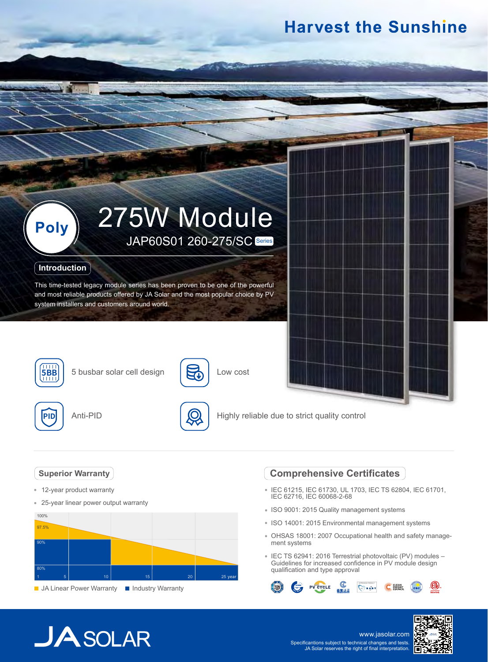## **Harvest the Sunshine**



### **Introduction**

This time-tested legacy module series has been proven to be one of the powerful and most reliable products offered by JA Solar and the most popular choice by PV system installers and customers around world.



**5BB** 5 busbar solar cell design





5

Low cost

Highly reliable due to strict quality control

## **Superior Warranty**

- 12-year product warranty
- $\hat{\mathbf{e}}$ 25-year linear power output warranty



#### **JA Linear Power Warranty III Industry Warranty**

## **Comprehensive Certificates**

- IEC 61215, IEC 61730, UL 1703, IEC TS 62804, IEC 61701, IEC 62716, IEC 60068-2-68
- ISO 9001: 2015 Quality management systems
- ISO 14001: 2015 Environmental management systems
- OHSAS 18001: 2007 Occupational health and safety management systems
- IEC TS 62941: 2016 Terrestrial photovoltaic (PV) modules Guidelines for increased confidence in PV module design qualification and type approval



# $JASOLAR$

www.jasolar.com Specificantions subject to technical changes and tests. JA Solar reserves the right of final interpretation.